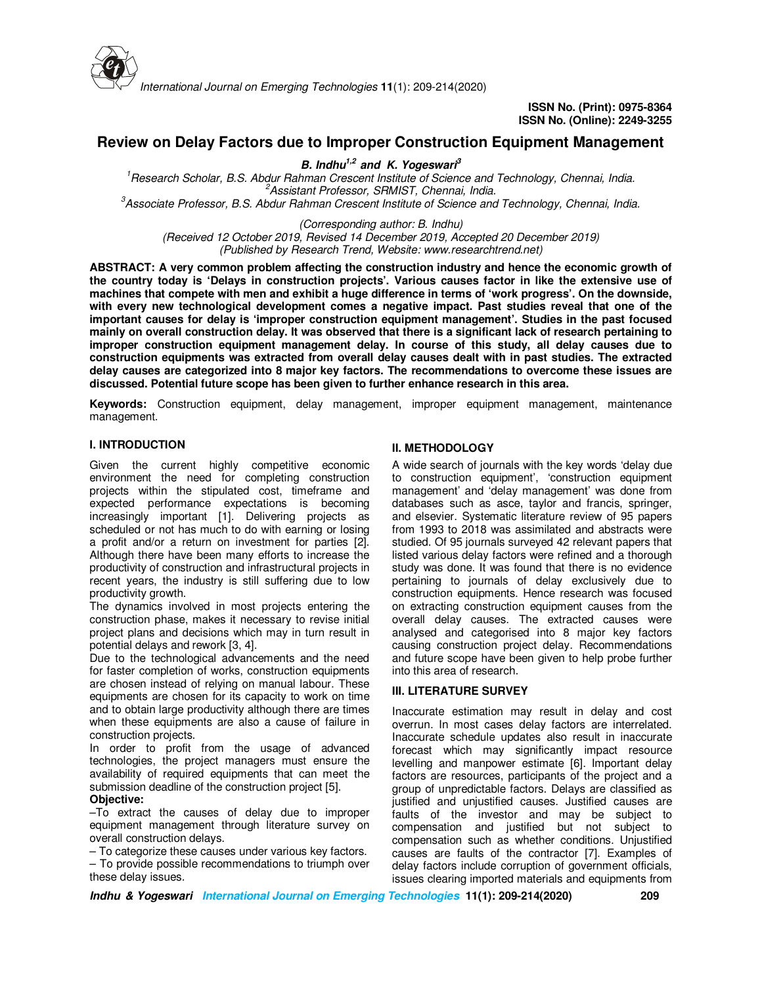

# **Review on Delay Factors due to Improper Construction Equipment Management**

**B. Indhu1,2 and K. Yogeswari<sup>3</sup>**

*<sup>1</sup>Research Scholar, B.S. Abdur Rahman Crescent Institute of Science and Technology, Chennai, India. <sup>2</sup>Assistant Professor, SRMIST, Chennai, India. <sup>3</sup>Associate Professor, B.S. Abdur Rahman Crescent Institute of Science and Technology, Chennai, India.*

*(Corresponding author: B. Indhu) (Received 12 October 2019, Revised 14 December 2019, Accepted 20 December 2019) (Published by Research Trend, Website: www.researchtrend.net)*

**ABSTRACT: A very common problem affecting the construction industry and hence the economic growth of the country today is 'Delays in construction projects'. Various causes factor in like the extensive use of machines that compete with men and exhibit a huge difference in terms of 'work progress'. On the downside, with every new technological development comes a negative impact. Past studies reveal that one of the important causes for delay is 'improper construction equipment management'. Studies in the past focused mainly on overall construction delay. It was observed that there is a significant lack of research pertaining to improper construction equipment management delay. In course of this study, all delay causes due to construction equipments was extracted from overall delay causes dealt with in past studies. The extracted delay causes are categorized into 8 major key factors. The recommendations to overcome these issues are discussed. Potential future scope has been given to further enhance research in this area.**

**Keywords:** Construction equipment, delay management, improper equipment management, maintenance management.

# **I. INTRODUCTION**

Given the current highly competitive economic environment the need for completing construction projects within the stipulated cost, timeframe and expected performance expectations is becoming increasingly important [1]. Delivering projects as scheduled or not has much to do with earning or losing a profit and/or a return on investment for parties [2]. Although there have been many efforts to increase the productivity of construction and infrastructural projects in recent years, the industry is still suffering due to low productivity growth.

The dynamics involved in most projects entering the construction phase, makes it necessary to revise initial project plans and decisions which may in turn result in potential delays and rework [3, 4].

Due to the technological advancements and the need for faster completion of works, construction equipments are chosen instead of relying on manual labour. These equipments are chosen for its capacity to work on time and to obtain large productivity although there are times when these equipments are also a cause of failure in construction projects.

In order to profit from the usage of advanced technologies, the project managers must ensure the availability of required equipments that can meet the submission deadline of the construction project [5]. **Objective:** 

# –To extract the causes of delay due to improper

equipment management through literature survey on overall construction delays.

– To categorize these causes under various key factors.

– To provide possible recommendations to triumph over these delay issues.

# **II. METHODOLOGY**

A wide search of journals with the key words 'delay due to construction equipment', 'construction equipment management' and 'delay management' was done from databases such as asce, taylor and francis, springer, and elsevier. Systematic literature review of 95 papers from 1993 to 2018 was assimilated and abstracts were studied. Of 95 journals surveyed 42 relevant papers that listed various delay factors were refined and a thorough study was done. It was found that there is no evidence pertaining to journals of delay exclusively due to construction equipments. Hence research was focused on extracting construction equipment causes from the overall delay causes. The extracted causes were analysed and categorised into 8 major key factors causing construction project delay. Recommendations and future scope have been given to help probe further into this area of research.

# **III. LITERATURE SURVEY**

Inaccurate estimation may result in delay and cost overrun. In most cases delay factors are interrelated. Inaccurate schedule updates also result in inaccurate forecast which may significantly impact resource levelling and manpower estimate [6]. Important delay factors are resources, participants of the project and a group of unpredictable factors. Delays are classified as justified and unjustified causes. Justified causes are faults of the investor and may be subject to compensation and justified but not subject to compensation such as whether conditions. Unjustified causes are faults of the contractor [7]. Examples of delay factors include corruption of government officials, issues clearing imported materials and equipments from

**Indhu & Yogeswari International Journal on Emerging Technologies 11(1): 209-214(2020) 209**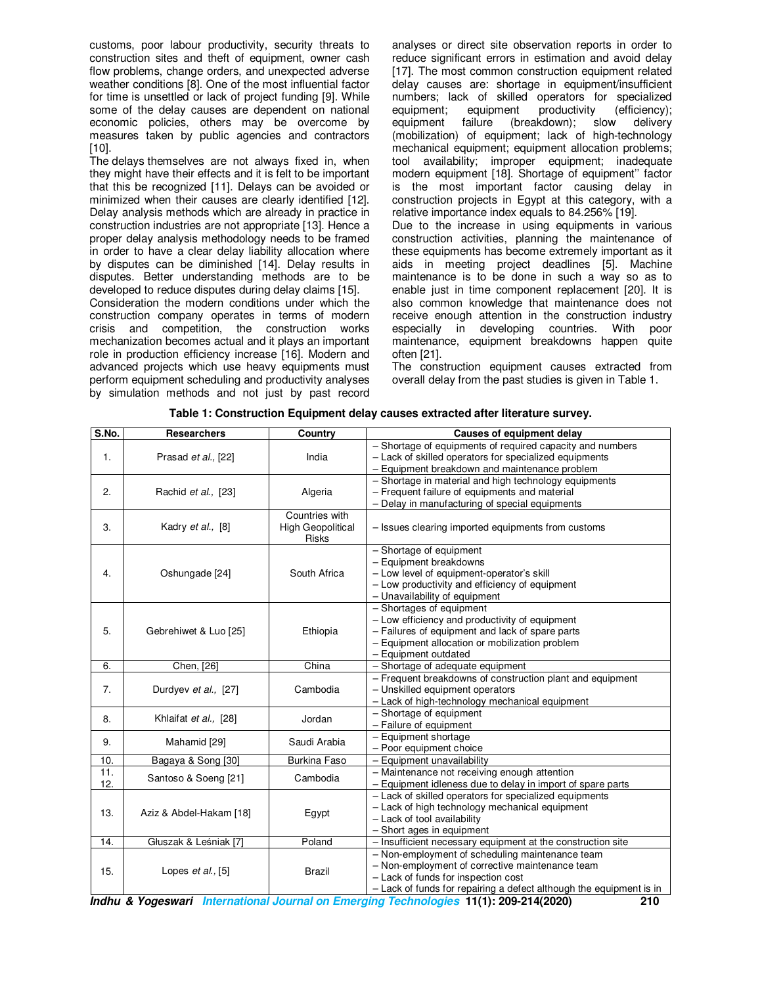customs, poor labour productivity, security threats to construction sites and theft of equipment, owner cash flow problems, change orders, and unexpected adverse weather conditions [8]. One of the most influential factor for time is unsettled or lack of project funding [9]. While some of the delay causes are dependent on national economic policies, others may be overcome by measures taken by public agencies and contractors  $[10]$ .

The delays themselves are not always fixed in, when they might have their effects and it is felt to be important that this be recognized [11]. Delays can be avoided or minimized when their causes are clearly identified [12]. Delay analysis methods which are already in practice in construction industries are not appropriate [13]. Hence a proper delay analysis methodology needs to be framed in order to have a clear delay liability allocation where by disputes can be diminished [14]. Delay results in disputes. Better understanding methods are to be developed to reduce disputes during delay claims [15].

Consideration the modern conditions under which the construction company operates in terms of modern crisis and competition, the construction works mechanization becomes actual and it plays an important role in production efficiency increase [16]. Modern and advanced projects which use heavy equipments must perform equipment scheduling and productivity analyses by simulation methods and not just by past record analyses or direct site observation reports in order to reduce significant errors in estimation and avoid delay [17]. The most common construction equipment related delay causes are: shortage in equipment/insufficient numbers; lack of skilled operators for specialized equipment; equipment productivity (efficiency);<br>equipment failure (breakdown); slow delivery equipment failure (breakdown); slow delivery (mobilization) of equipment; lack of high-technology mechanical equipment; equipment allocation problems; tool availability; improper equipment; inadequate modern equipment [18]. Shortage of equipment'' factor is the most important factor causing delay in construction projects in Egypt at this category, with a relative importance index equals to 84.256% [19]. Due to the increase in using equipments in various

construction activities, planning the maintenance of these equipments has become extremely important as it aids in meeting project deadlines [5]. Machine maintenance is to be done in such a way so as to enable just in time component replacement [20]. It is also common knowledge that maintenance does not receive enough attention in the construction industry especially in developing countries. With poor maintenance, equipment breakdowns happen quite often [21].

The construction equipment causes extracted from overall delay from the past studies is given in Table 1.

| S.No.          | <b>Researchers</b>      | Country                                                    | <b>Causes of equipment delay</b>                                                                                                                                                                                 |
|----------------|-------------------------|------------------------------------------------------------|------------------------------------------------------------------------------------------------------------------------------------------------------------------------------------------------------------------|
| $\mathbf{1}$ . | Prasad et al., [22]     | India                                                      | - Shortage of equipments of required capacity and numbers<br>- Lack of skilled operators for specialized equipments<br>- Equipment breakdown and maintenance problem                                             |
| 2.             | Rachid et al., [23]     | Algeria                                                    | - Shortage in material and high technology equipments<br>- Frequent failure of equipments and material<br>- Delay in manufacturing of special equipments                                                         |
| 3.             | Kadry et al., [8]       | Countries with<br><b>High Geopolitical</b><br><b>Risks</b> | - Issues clearing imported equipments from customs                                                                                                                                                               |
| 4.             | Oshungade [24]          | South Africa                                               | - Shortage of equipment<br>- Equipment breakdowns<br>- Low level of equipment-operator's skill<br>- Low productivity and efficiency of equipment<br>- Unavailability of equipment                                |
| 5.             | Gebrehiwet & Luo [25]   | Ethiopia                                                   | - Shortages of equipment<br>- Low efficiency and productivity of equipment<br>- Failures of equipment and lack of spare parts<br>- Equipment allocation or mobilization problem<br>- Equipment outdated          |
| 6.             | Chen, [26]              | China                                                      | - Shortage of adequate equipment                                                                                                                                                                                 |
| 7.             | Durdyev et al., [27]    | Cambodia                                                   | - Frequent breakdowns of construction plant and equipment<br>- Unskilled equipment operators<br>- Lack of high-technology mechanical equipment                                                                   |
| 8.             | Khlaifat et al., [28]   | Jordan                                                     | - Shortage of equipment<br>- Failure of equipment                                                                                                                                                                |
| 9.             | Mahamid [29]            | Saudi Arabia                                               | - Equipment shortage<br>- Poor equipment choice                                                                                                                                                                  |
| 10.            | Bagaya & Song [30]      | <b>Burkina Faso</b>                                        | - Equipment unavailability                                                                                                                                                                                       |
| 11.<br>12.     | Santoso & Soeng [21]    | Cambodia                                                   | - Maintenance not receiving enough attention<br>- Equipment idleness due to delay in import of spare parts                                                                                                       |
| 13.            | Aziz & Abdel-Hakam [18] | Egypt                                                      | - Lack of skilled operators for specialized equipments<br>- Lack of high technology mechanical equipment<br>- Lack of tool availability<br>- Short ages in equipment                                             |
| 14.            | Głuszak & Leśniak [7]   | Poland                                                     | - Insufficient necessary equipment at the construction site                                                                                                                                                      |
| 15.            | Lopes $et al., [5]$     | <b>Brazil</b>                                              | - Non-employment of scheduling maintenance team<br>- Non-employment of corrective maintenance team<br>- Lack of funds for inspection cost<br>- Lack of funds for repairing a defect although the equipment is in |

**Table 1: Construction Equipment delay causes extracted after literature survey.**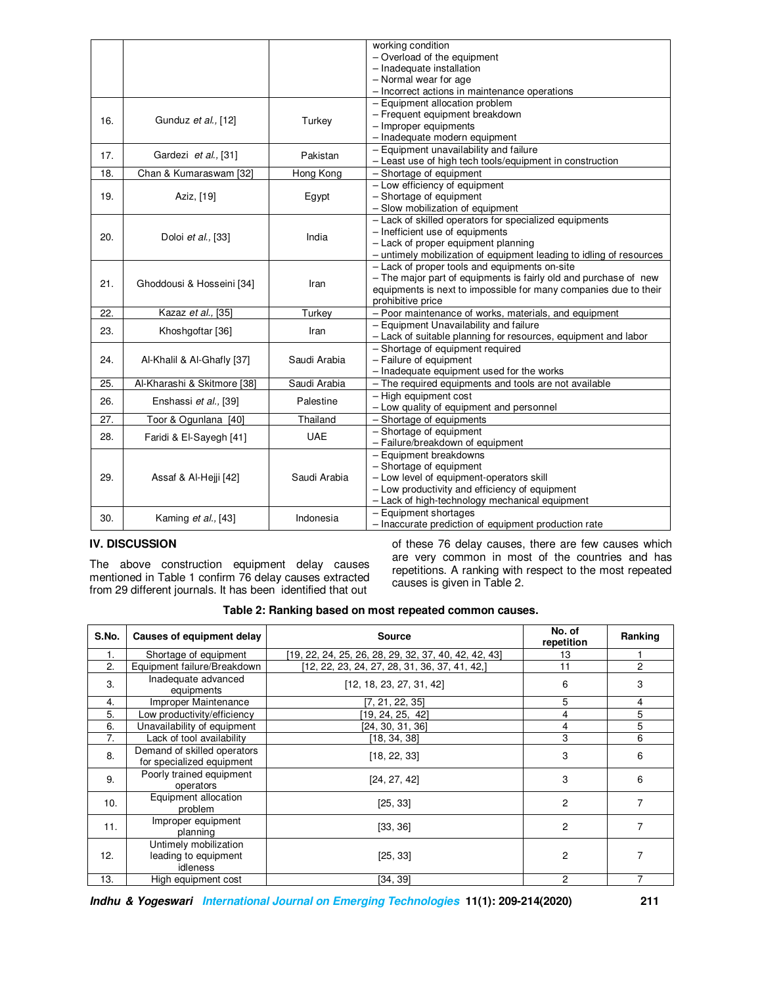|     |                             |              | working condition                                                   |
|-----|-----------------------------|--------------|---------------------------------------------------------------------|
|     |                             |              | - Overload of the equipment                                         |
|     |                             |              | - Inadequate installation                                           |
|     |                             |              | - Normal wear for age                                               |
|     |                             |              | - Incorrect actions in maintenance operations                       |
|     |                             |              | - Equipment allocation problem                                      |
| 16. | Gunduz et al., [12]         | Turkey       | - Frequent equipment breakdown                                      |
|     |                             |              | - Improper equipments                                               |
|     |                             |              | - Inadequate modern equipment                                       |
| 17. | Gardezi et al., [31]        | Pakistan     | - Equipment unavailability and failure                              |
|     |                             |              | - Least use of high tech tools/equipment in construction            |
| 18. | Chan & Kumaraswam [32]      | Hong Kong    | - Shortage of equipment                                             |
|     |                             |              | - Low efficiency of equipment                                       |
| 19. | Aziz, [19]                  | Egypt        | - Shortage of equipment                                             |
|     |                             |              | - Slow mobilization of equipment                                    |
|     |                             |              | - Lack of skilled operators for specialized equipments              |
| 20. | Doloi et al., [33]          | India        | - Inefficient use of equipments                                     |
|     |                             |              | - Lack of proper equipment planning                                 |
|     |                             |              | - untimely mobilization of equipment leading to idling of resources |
|     |                             |              | - Lack of proper tools and equipments on-site                       |
| 21. | Ghoddousi & Hosseini [34]   | Iran         | - The major part of equipments is fairly old and purchase of new    |
|     |                             |              | equipments is next to impossible for many companies due to their    |
|     |                             |              | prohibitive price                                                   |
| 22. | Kazaz et al., [35]          | Turkey       | - Poor maintenance of works, materials, and equipment               |
| 23. | Khoshgoftar [36]            | Iran         | - Equipment Unavailability and failure                              |
|     |                             |              | - Lack of suitable planning for resources, equipment and labor      |
|     |                             |              | - Shortage of equipment required                                    |
| 24. | Al-Khalil & Al-Ghafly [37]  | Saudi Arabia | - Failure of equipment                                              |
|     |                             |              | - Inadequate equipment used for the works                           |
| 25. | Al-Kharashi & Skitmore [38] | Saudi Arabia | - The required equipments and tools are not available               |
| 26. | Enshassi et al., [39]       | Palestine    | - High equipment cost                                               |
|     |                             |              | - Low quality of equipment and personnel                            |
| 27. | Toor & Ogunlana [40]        | Thailand     | - Shortage of equipments                                            |
| 28. | Faridi & El-Sayegh [41]     | <b>UAE</b>   | - Shortage of equipment                                             |
|     |                             |              | - Failure/breakdown of equipment                                    |
|     |                             |              | - Equipment breakdowns                                              |
|     | Assaf & Al-Hejji [42]       | Saudi Arabia | - Shortage of equipment                                             |
| 29. |                             |              | - Low level of equipment-operators skill                            |
|     |                             |              | - Low productivity and efficiency of equipment                      |
|     |                             |              | - Lack of high-technology mechanical equipment                      |
| 30. | Kaming et al., [43]         | Indonesia    | - Equipment shortages                                               |
|     |                             |              | - Inaccurate prediction of equipment production rate                |

# **IV. DISCUSSION**

The above construction equipment delay causes mentioned in Table 1 confirm 76 delay causes extracted from 29 different journals. It has been identified that out

of these 76 delay causes, there are few causes which are very common in most of the countries and has repetitions. A ranking with respect to the most repeated causes is given in Table 2.

|  |  |  | Table 2: Ranking based on most repeated common causes. |
|--|--|--|--------------------------------------------------------|
|--|--|--|--------------------------------------------------------|

| S.No. | Causes of equipment delay                                 | <b>Source</b>                                        | No. of<br>repetition | Ranking        |
|-------|-----------------------------------------------------------|------------------------------------------------------|----------------------|----------------|
|       | Shortage of equipment                                     | [19, 22, 24, 25, 26, 28, 29, 32, 37, 40, 42, 42, 43] | 13                   |                |
| 2.    | Equipment failure/Breakdown                               | [12, 22, 23, 24, 27, 28, 31, 36, 37, 41, 42,]        | 11                   | $\overline{c}$ |
| 3.    | Inadequate advanced<br>equipments                         | [12, 18, 23, 27, 31, 42]                             | 6                    | 3              |
| 4.    | Improper Maintenance                                      | [7, 21, 22, 35]                                      | 5                    | 4              |
| 5.    | Low productivity/efficiency                               | [19, 24, 25, 42]                                     | 4                    | 5              |
| 6.    | Unavailability of equipment                               | [24, 30, 31, 36]                                     | 4                    | 5              |
| 7.    | Lack of tool availability                                 | [18, 34, 38]                                         | 3                    | 6              |
| 8.    | Demand of skilled operators<br>for specialized equipment  | [18, 22, 33]                                         | 3                    | 6              |
| 9.    | Poorly trained equipment<br>operators                     | [24, 27, 42]                                         | 3                    | 6              |
| 10.   | Equipment allocation<br>problem                           | [25, 33]                                             | $\overline{c}$       | 7              |
| 11.   | Improper equipment<br>planning                            | [33, 36]                                             | 2                    | 7              |
| 12.   | Untimely mobilization<br>leading to equipment<br>idleness | [25, 33]                                             | 2                    | 7              |
| 13.   | High equipment cost                                       | [34.39]                                              | 2                    | 7              |

**Indhu & Yogeswari International Journal on Emerging Technologies 11(1): 209-214(2020) 211**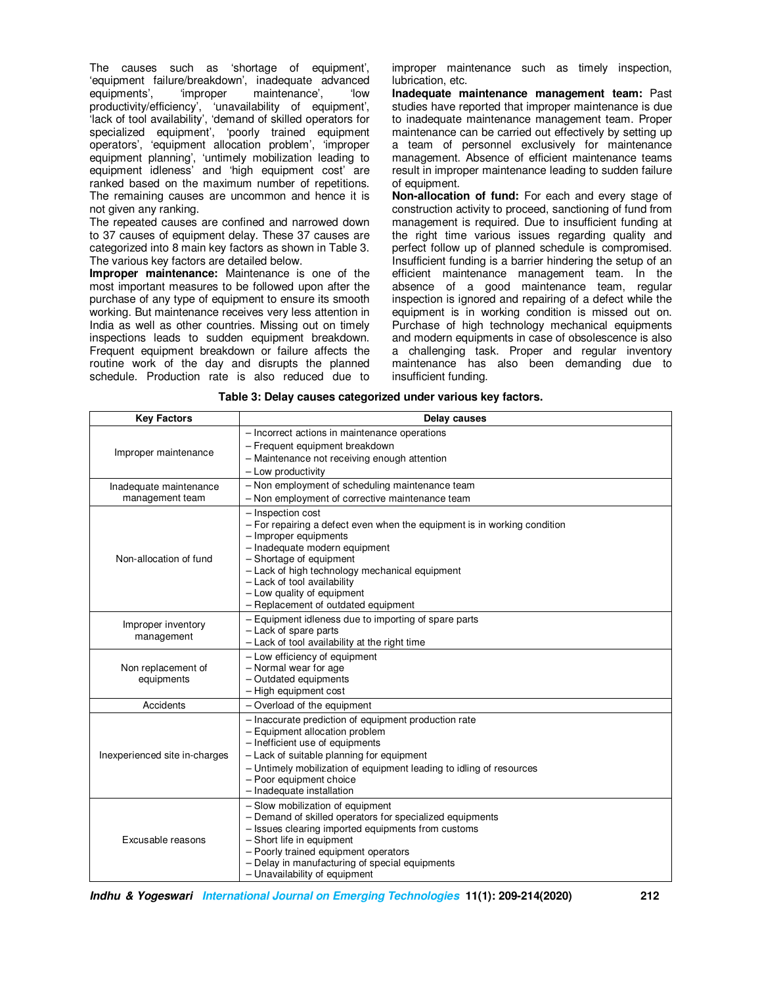The causes such as 'shortage of equipment', 'equipment failure/breakdown', inadequate advanced equipments', 'improper maintenance', 'low productivity/efficiency', 'unavailability of equipment', 'lack of tool availability', 'demand of skilled operators for specialized equipment', 'poorly trained equipment operators', 'equipment allocation problem', 'improper equipment planning', 'untimely mobilization leading to equipment idleness' and 'high equipment cost' are ranked based on the maximum number of repetitions. The remaining causes are uncommon and hence it is not given any ranking.

The repeated causes are confined and narrowed down to 37 causes of equipment delay. These 37 causes are categorized into 8 main key factors as shown in Table 3. The various key factors are detailed below.

**Improper maintenance:** Maintenance is one of the most important measures to be followed upon after the purchase of any type of equipment to ensure its smooth working. But maintenance receives very less attention in India as well as other countries. Missing out on timely inspections leads to sudden equipment breakdown. Frequent equipment breakdown or failure affects the routine work of the day and disrupts the planned schedule. Production rate is also reduced due to improper maintenance such as timely inspection, lubrication, etc.

**Inadequate maintenance management team:** Past studies have reported that improper maintenance is due to inadequate maintenance management team. Proper maintenance can be carried out effectively by setting up a team of personnel exclusively for maintenance management. Absence of efficient maintenance teams result in improper maintenance leading to sudden failure of equipment.

**Non-allocation of fund:** For each and every stage of construction activity to proceed, sanctioning of fund from management is required. Due to insufficient funding at the right time various issues regarding quality and perfect follow up of planned schedule is compromised. Insufficient funding is a barrier hindering the setup of an efficient maintenance management team. In the absence of a good maintenance team, regular inspection is ignored and repairing of a defect while the equipment is in working condition is missed out on. Purchase of high technology mechanical equipments and modern equipments in case of obsolescence is also a challenging task. Proper and regular inventory maintenance has also been demanding due to insufficient funding.

| Table 3: Delay causes categorized under various key factors. |  |
|--------------------------------------------------------------|--|
|                                                              |  |

| <b>Key Factors</b>                        | Delay causes                                                                                                                                                                                                                                                                                                                             |
|-------------------------------------------|------------------------------------------------------------------------------------------------------------------------------------------------------------------------------------------------------------------------------------------------------------------------------------------------------------------------------------------|
| Improper maintenance                      | - Incorrect actions in maintenance operations<br>- Frequent equipment breakdown<br>- Maintenance not receiving enough attention<br>- Low productivity                                                                                                                                                                                    |
| Inadequate maintenance<br>management team | - Non employment of scheduling maintenance team<br>- Non employment of corrective maintenance team                                                                                                                                                                                                                                       |
| Non-allocation of fund                    | - Inspection cost<br>- For repairing a defect even when the equipment is in working condition<br>- Improper equipments<br>- Inadequate modern equipment<br>- Shortage of equipment<br>- Lack of high technology mechanical equipment<br>- Lack of tool availability<br>- Low quality of equipment<br>- Replacement of outdated equipment |
| Improper inventory<br>management          | - Equipment idleness due to importing of spare parts<br>- Lack of spare parts<br>- Lack of tool availability at the right time                                                                                                                                                                                                           |
| Non replacement of<br>equipments          | - Low efficiency of equipment<br>- Normal wear for age<br>- Outdated equipments<br>- High equipment cost                                                                                                                                                                                                                                 |
| Accidents                                 | - Overload of the equipment                                                                                                                                                                                                                                                                                                              |
| Inexperienced site in-charges             | - Inaccurate prediction of equipment production rate<br>- Equipment allocation problem<br>- Inefficient use of equipments<br>- Lack of suitable planning for equipment<br>- Untimely mobilization of equipment leading to idling of resources<br>- Poor equipment choice<br>- Inadequate installation                                    |
| Excusable reasons                         | - Slow mobilization of equipment<br>- Demand of skilled operators for specialized equipments<br>- Issues clearing imported equipments from customs<br>- Short life in equipment<br>- Poorly trained equipment operators<br>- Delay in manufacturing of special equipments<br>- Unavailability of equipment                               |

**Indhu & Yogeswari International Journal on Emerging Technologies 11(1): 209-214(2020) 212**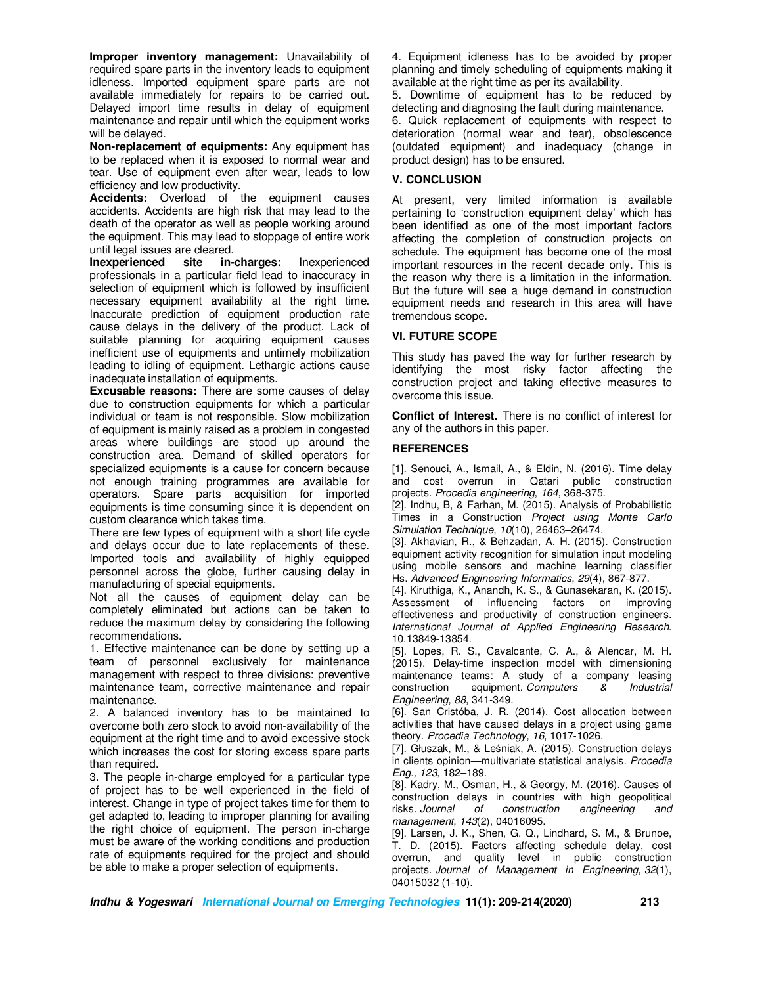**Improper inventory management:** Unavailability of required spare parts in the inventory leads to equipment idleness. Imported equipment spare parts are not available immediately for repairs to be carried out. Delayed import time results in delay of equipment maintenance and repair until which the equipment works will be delayed.

**Non-replacement of equipments:** Any equipment has to be replaced when it is exposed to normal wear and tear. Use of equipment even after wear, leads to low efficiency and low productivity.

**Accidents:** Overload of the equipment causes accidents. Accidents are high risk that may lead to the death of the operator as well as people working around the equipment. This may lead to stoppage of entire work until legal issues are cleared.

**Inexperienced site in-charges:** Inexperienced professionals in a particular field lead to inaccuracy in selection of equipment which is followed by insufficient necessary equipment availability at the right time. Inaccurate prediction of equipment production rate cause delays in the delivery of the product. Lack of suitable planning for acquiring equipment causes inefficient use of equipments and untimely mobilization leading to idling of equipment. Lethargic actions cause inadequate installation of equipments.

**Excusable reasons:** There are some causes of delay due to construction equipments for which a particular individual or team is not responsible. Slow mobilization of equipment is mainly raised as a problem in congested areas where buildings are stood up around the construction area. Demand of skilled operators for specialized equipments is a cause for concern because not enough training programmes are available for operators. Spare parts acquisition for imported equipments is time consuming since it is dependent on custom clearance which takes time.

There are few types of equipment with a short life cycle and delays occur due to late replacements of these. Imported tools and availability of highly equipped personnel across the globe, further causing delay in manufacturing of special equipments.

Not all the causes of equipment delay can be completely eliminated but actions can be taken to reduce the maximum delay by considering the following recommendations.

1. Effective maintenance can be done by setting up a team of personnel exclusively for maintenance management with respect to three divisions: preventive maintenance team, corrective maintenance and repair maintenance.

2. A balanced inventory has to be maintained to overcome both zero stock to avoid non-availability of the equipment at the right time and to avoid excessive stock which increases the cost for storing excess spare parts than required.

3. The people in-charge employed for a particular type of project has to be well experienced in the field of interest. Change in type of project takes time for them to get adapted to, leading to improper planning for availing the right choice of equipment. The person in-charge must be aware of the working conditions and production rate of equipments required for the project and should be able to make a proper selection of equipments.

4. Equipment idleness has to be avoided by proper planning and timely scheduling of equipments making it available at the right time as per its availability.

5. Downtime of equipment has to be reduced by detecting and diagnosing the fault during maintenance.

6. Quick replacement of equipments with respect to deterioration (normal wear and tear), obsolescence (outdated equipment) and inadequacy (change in product design) has to be ensured.

# **V. CONCLUSION**

At present, very limited information is available pertaining to 'construction equipment delay' which has been identified as one of the most important factors affecting the completion of construction projects on schedule. The equipment has become one of the most important resources in the recent decade only. This is the reason why there is a limitation in the information. But the future will see a huge demand in construction equipment needs and research in this area will have tremendous scope.

#### **VI. FUTURE SCOPE**

This study has paved the way for further research by identifying the most risky factor affecting the construction project and taking effective measures to overcome this issue.

**Conflict of Interest.** There is no conflict of interest for any of the authors in this paper.

#### **REFERENCES**

[1]. Senouci, A., Ismail, A., & Eldin, N. (2016). Time delay and cost overrun in Qatari public construction projects. *Procedia engineering*, *164*, 368-375.

[2]. Indhu, B, & Farhan, M. (2015). Analysis of Probabilistic Times in a Construction *Project using Monte Carlo Simulation Technique*, *10*(10), 26463–26474.

[3]. Akhavian, R., & Behzadan, A. H. (2015). Construction equipment activity recognition for simulation input modeling using mobile sensors and machine learning classifier Hs. *Advanced Engineering Informatics*, *29*(4), 867-877.

[4]. Kiruthiga, K., Anandh, K. S., & Gunasekaran, K. (2015). Assessment of influencing factors on improving effectiveness and productivity of construction engineers. *International Journal of Applied Engineering Research*. 10.13849-13854.

[5]. Lopes, R. S., Cavalcante, C. A., & Alencar, M. H. (2015). Delay-time inspection model with dimensioning maintenance teams: A study of a company leasing construction equipment. *Computers & Industrial Engineering*, *88*, 341-349.

[6]. San Cristóba, J. R. (2014). Cost allocation between activities that have caused delays in a project using game theory. *Procedia Technology*, *16*, 1017-1026.

[7]. Głuszak, M., & Leśniak, A. (2015). Construction delays in clients opinion—multivariate statistical analysis. *Procedia Eng., 123*, 182–189.

[8]. Kadry, M., Osman, H., & Georgy, M. (2016). Causes of construction delays in countries with high geopolitical<br>risks. Journal of construction engineering and risks. *Journal of construction engineering and management*, *143*(2), 04016095.

[9]. Larsen, J. K., Shen, G. Q., Lindhard, S. M., & Brunoe, T. D. (2015). Factors affecting schedule delay, cost overrun, and quality level in public construction projects. *Journal of Management in Engineering*, *32*(1), 04015032 (1-10).